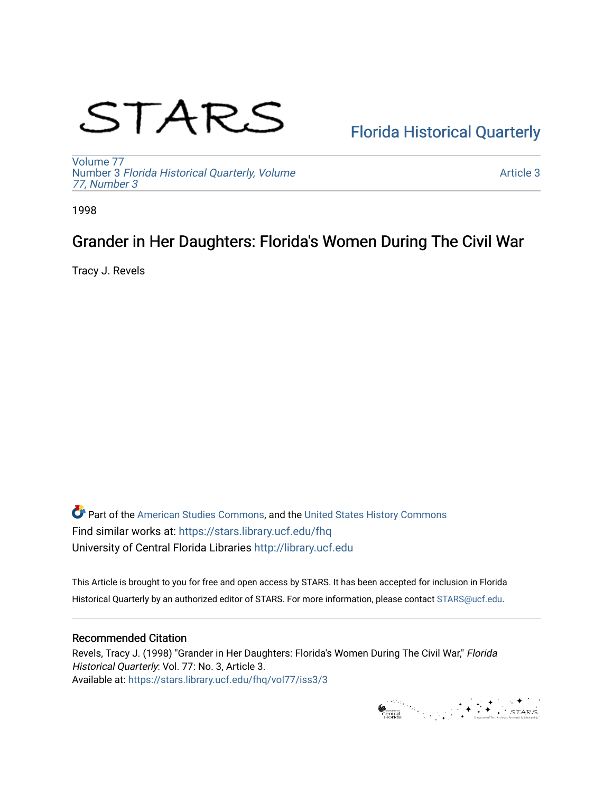# STARS

# [Florida Historical Quarterly](https://stars.library.ucf.edu/fhq)

[Volume 77](https://stars.library.ucf.edu/fhq/vol77) Number 3 [Florida Historical Quarterly, Volume](https://stars.library.ucf.edu/fhq/vol77/iss3)  [77, Number 3](https://stars.library.ucf.edu/fhq/vol77/iss3)

[Article 3](https://stars.library.ucf.edu/fhq/vol77/iss3/3) 

1998

# Grander in Her Daughters: Florida's Women During The Civil War

Tracy J. Revels

**C** Part of the [American Studies Commons](http://network.bepress.com/hgg/discipline/439?utm_source=stars.library.ucf.edu%2Ffhq%2Fvol77%2Fiss3%2F3&utm_medium=PDF&utm_campaign=PDFCoverPages), and the United States History Commons Find similar works at: <https://stars.library.ucf.edu/fhq> University of Central Florida Libraries [http://library.ucf.edu](http://library.ucf.edu/) 

This Article is brought to you for free and open access by STARS. It has been accepted for inclusion in Florida Historical Quarterly by an authorized editor of STARS. For more information, please contact [STARS@ucf.edu.](mailto:STARS@ucf.edu)

# Recommended Citation

Revels, Tracy J. (1998) "Grander in Her Daughters: Florida's Women During The Civil War," Florida Historical Quarterly: Vol. 77: No. 3, Article 3. Available at: [https://stars.library.ucf.edu/fhq/vol77/iss3/3](https://stars.library.ucf.edu/fhq/vol77/iss3/3?utm_source=stars.library.ucf.edu%2Ffhq%2Fvol77%2Fiss3%2F3&utm_medium=PDF&utm_campaign=PDFCoverPages) 

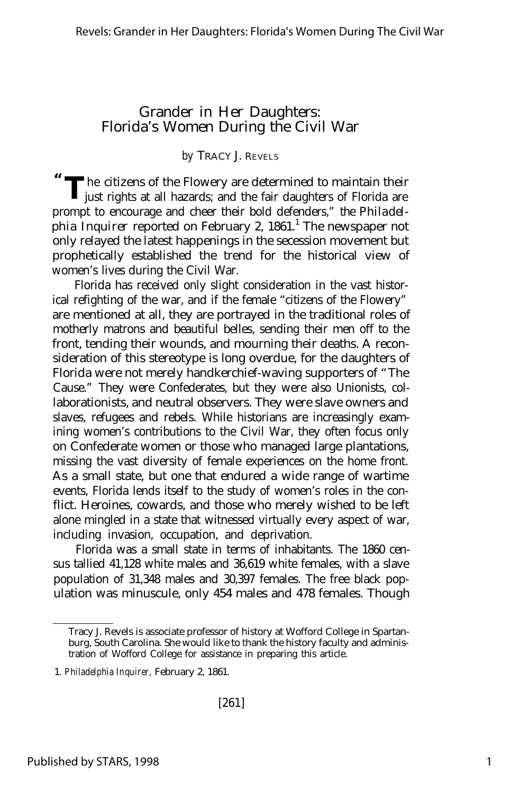# Grander in Her Daughters: Florida's Women During the Civil War

# *by* TRACY J. REVELS

**The citizens of the Flowery are determined to maintain their<br>
<b>T** just rights at all hazards; and the fair daughters of Florida are ust rights at all hazards; and the fair daughters of Florida are prompt to encourage and cheer their bold defenders," the *Philadel*phia Inquirer reported on February 2, 1861.<sup>1</sup> The newspaper not only relayed the latest happenings in the secession movement but prophetically established the trend for the historical view of women's lives during the Civil War.

Florida has received only slight consideration in the vast historical refighting of the war, and if the female "citizens of the Flowery" are mentioned at all, they are portrayed in the traditional roles of motherly matrons and beautiful belles, sending their men off to the front, tending their wounds, and mourning their deaths. A reconsideration of this stereotype is long overdue, for the daughters of Florida were not merely handkerchief-waving supporters of "The Cause." They were Confederates, but they were also Unionists, collaborationists, and neutral observers. They were slave owners and slaves, refugees and rebels. While historians are increasingly examining women's contributions to the Civil War, they often focus only on Confederate women or those who managed large plantations, missing the vast diversity of female experiences on the home front. As a small state, but one that endured a wide range of wartime events, Florida lends itself to the study of women's roles in the conflict. Heroines, cowards, and those who merely wished to be left alone mingled in a state that witnessed virtually every aspect of war, including invasion, occupation, and deprivation.

Florida was a small state in terms of inhabitants. The 1860 census tallied 41,128 white males and 36,619 white females, with a slave population of 31,348 males and 30,397 females. The free black population was minuscule, only 454 males and 478 females. Though

Tracy J. Revels is associate professor of history at Wofford College in Spartanburg, South Carolina. She would like to thank the history faculty and administration of Wofford College for assistance in preparing this article.

<sup>1.</sup> *Philadelphia Inquirer,* February 2, 1861.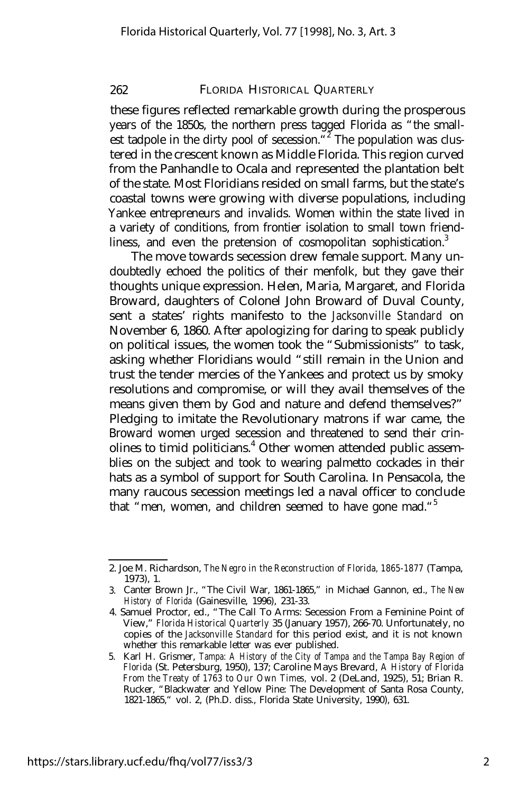these figures reflected remarkable growth during the prosperous years of the 1850s, the northern press tagged Florida as "the smallest tadpole in the dirty pool of secession.<sup>" $z$ </sup> The population was clustered in the crescent known as Middle Florida. This region curved from the Panhandle to Ocala and represented the plantation belt of the state. Most Floridians resided on small farms, but the state's coastal towns were growing with diverse populations, including Yankee entrepreneurs and invalids. Women within the state lived in a variety of conditions, from frontier isolation to small town friendliness, and even the pretension of cosmopolitan sophistication.<sup>3</sup>

The move towards secession drew female support. Many undoubtedly echoed the politics of their menfolk, but they gave their thoughts unique expression. Helen, Maria, Margaret, and Florida Broward, daughters of Colonel John Broward of Duval County, sent a states' rights manifesto to the *Jacksonville Standard* on November 6, 1860. After apologizing for daring to speak publicly on political issues, the women took the "Submissionists" to task, asking whether Floridians would "still remain in the Union and trust the tender mercies of the Yankees and protect us by smoky resolutions and compromise, or will they avail themselves of the means given them by God and nature and defend themselves?" Pledging to imitate the Revolutionary matrons if war came, the Broward women urged secession and threatened to send their crinolines to timid politicians.<sup>4</sup> Other women attended public assemblies on the subject and took to wearing palmetto cockades in their hats as a symbol of support for South Carolina. In Pensacola, the many raucous secession meetings led a naval officer to conclude that "men, women, and children seemed to have gone mad."<sup>5</sup>

<sup>2.</sup> Joe M. Richardson, *The Negro in the Reconstruction of Florida, 1865-1877* (Tampa, 1973), 1.

<sup>3.</sup> Canter Brown Jr., "The Civil War, 1861-1865," in Michael Gannon, ed., *The New History of Florida* (Gainesville, 1996), 231-33.

<sup>4.</sup> Samuel Proctor, ed., "The Call To Arms: Secession From a Feminine Point of View," *Florida Historical Quarterly* 35 (January 1957), 266-70. Unfortunately, no copies of the *Jacksonville Standard* for this period exist, and it is not known whether this remarkable letter was ever published.

<sup>5.</sup> Karl H. Grismer, *Tampa: A History of the City of Tampa and the Tampa Bay Region of Florida* (St. Petersburg, 1950), 137; Caroline Mays Brevard, *A History of Florida From the Treaty of 1763 to Our Own Times,* vol. 2 (DeLand, 1925), 51; Brian R. Rucker, "Blackwater and Yellow Pine: The Development of Santa Rosa County, 1821-1865," vol. 2, (Ph.D. diss., Florida State University, 1990), 631.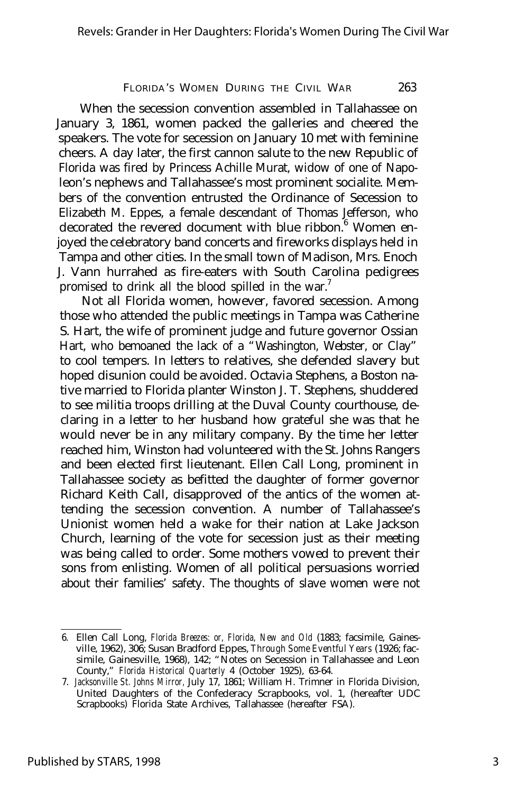When the secession convention assembled in Tallahassee on January 3, 1861, women packed the galleries and cheered the speakers. The vote for secession on January 10 met with feminine cheers. A day later, the first cannon salute to the new Republic of Florida was fired by Princess Achille Murat, widow of one of Napoleon's nephews and Tallahassee's most prominent socialite. Members of the convention entrusted the Ordinance of Secession to Elizabeth M. Eppes, a female descendant of Thomas Jefferson, who decorated the revered document with blue ribbon.<sup>6</sup> Women enjoyed the celebratory band concerts and fireworks displays held in Tampa and other cities. In the small town of Madison, Mrs. Enoch J. Vann hurrahed as fire-eaters with South Carolina pedigrees promised to drink all the blood spilled in the war.<sup>7</sup>

Not all Florida women, however, favored secession. Among those who attended the public meetings in Tampa was Catherine S. Hart, the wife of prominent judge and future governor Ossian Hart, who bemoaned the lack of a "Washington, Webster, or Clay" to cool tempers. In letters to relatives, she defended slavery but hoped disunion could be avoided. Octavia Stephens, a Boston native married to Florida planter Winston J. T. Stephens, shuddered to see militia troops drilling at the Duval County courthouse, declaring in a letter to her husband how grateful she was that he would never be in any military company. By the time her letter reached him, Winston had volunteered with the St. Johns Rangers and been elected first lieutenant. Ellen Call Long, prominent in Tallahassee society as befitted the daughter of former governor Richard Keith Call, disapproved of the antics of the women attending the secession convention. A number of Tallahassee's Unionist women held a wake for their nation at Lake Jackson Church, learning of the vote for secession just as their meeting was being called to order. Some mothers vowed to prevent their sons from enlisting. Women of all political persuasions worried about their families' safety. The thoughts of slave women were not

<sup>6.</sup> Ellen Call Long, *Florida Breezes: or, Florida, New and Old* (1883; facsimile, Gainesville, 1962), 306; Susan Bradford Eppes, *Through Some Eventful Years* (1926; facsimile, Gainesville, 1968), 142; "Notes on Secession in Tallahassee and Leon County," *Florida Historical Quarterly* 4 (October 1925), 63-64.

<sup>7.</sup> *Jacksonville St. Johns Mirror,* July 17, 1861; William H. Trimner in Florida Division, United Daughters of the Confederacy Scrapbooks, vol. 1, (hereafter UDC Scrapbooks) Florida State Archives, Tallahassee (hereafter FSA).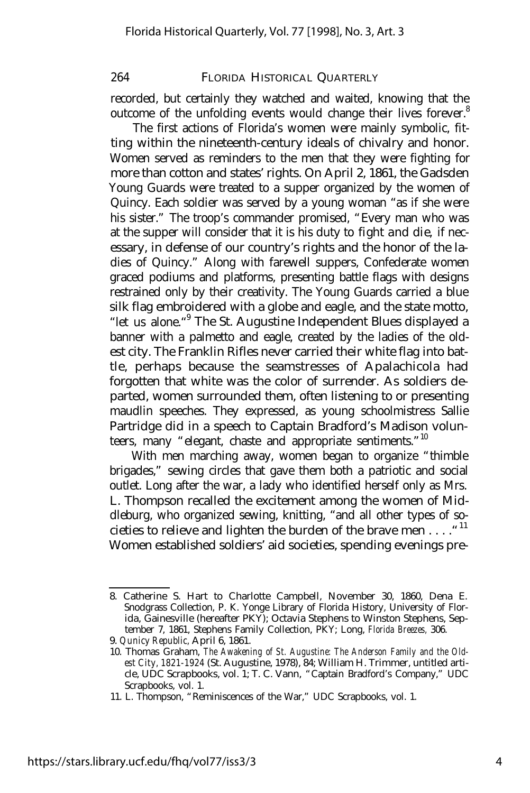recorded, but certainly they watched and waited, knowing that the outcome of the unfolding events would change their lives forever.<sup>8</sup>

The first actions of Florida's women were mainly symbolic, fitting within the nineteenth-century ideals of chivalry and honor. Women served as reminders to the men that they were fighting for more than cotton and states' rights. On April 2, 1861, the Gadsden Young Guards were treated to a supper organized by the women of Quincy. Each soldier was served by a young woman "as if she were his sister." The troop's commander promised, "Every man who was at the supper will consider that it is his duty to *fight and die,* if necessary, in defense of our country's rights and the honor of the ladies of Quincy." Along with farewell suppers, Confederate women graced podiums and platforms, presenting battle flags with designs restrained only by their creativity. The Young Guards carried a blue silk flag embroidered with a globe and eagle, and the state motto, "let us alone." <sup>9</sup> The St. Augustine Independent Blues displayed a banner with a palmetto and eagle, created by the ladies of the oldest city. The Franklin Rifles never carried their white flag into battle, perhaps because the seamstresses of Apalachicola had forgotten that white was the color of surrender. As soldiers departed, women surrounded them, often listening to or presenting maudlin speeches. They expressed, as young schoolmistress Sallie Partridge did in a speech to Captain Bradford's Madison volunteers, many "elegant, chaste and appropriate sentiments."<sup>10</sup>

With men marching away, women began to organize "thimble brigades," sewing circles that gave them both a patriotic and social outlet. Long after the war, a lady who identified herself only as Mrs. L. Thompson recalled the excitement among the women of Middleburg, who organized sewing, knitting, "and all other types of societies to relieve and lighten the burden of the brave men  $\dots$ ." Women established soldiers' aid societies, spending evenings pre-

<sup>8.</sup> Catherine S. Hart to Charlotte Campbell, November 30, 1860, Dena E. Snodgrass Collection, P. K. Yonge Library of Florida History, University of Florida, Gainesville (hereafter PKY); Octavia Stephens to Winston Stephens, September 7, 1861, Stephens Family Collection, PKY; Long, *Florida Breezes,* 306.

<sup>9.</sup> *Qunicy Republic,* April 6, 1861.

<sup>10.</sup> Thomas Graham, *The Awakening of St. Augustine: The Anderson Family and the Oldest City, 1821-1924* (St. Augustine, 1978), 84; William H. Trimmer, untitled article, UDC Scrapbooks, vol. 1; T. C. Vann, "Captain Bradford's Company," UDC Scrapbooks, vol. 1.

<sup>11.</sup> L. Thompson, "Reminiscences of the War," UDC Scrapbooks, vol. 1.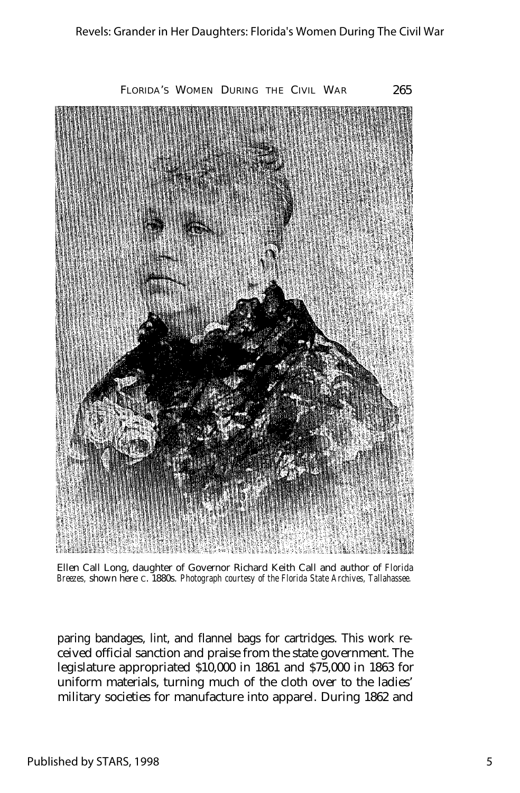#### Revels: Grander in Her Daughters: Florida's Women During The Civil War



Ellen Call Long, daughter of Governor Richard Keith Call and author of *Florida Breezes,* shown here C. 1880s. *Photograph courtesy of the Florida State Archives, Tallahassee.*

paring bandages, lint, and flannel bags for cartridges. This work received official sanction and praise from the state government. The legislature appropriated \$10,000 in 1861 and \$75,000 in 1863 for uniform materials, turning much of the cloth over to the ladies' military societies for manufacture into apparel. During 1862 and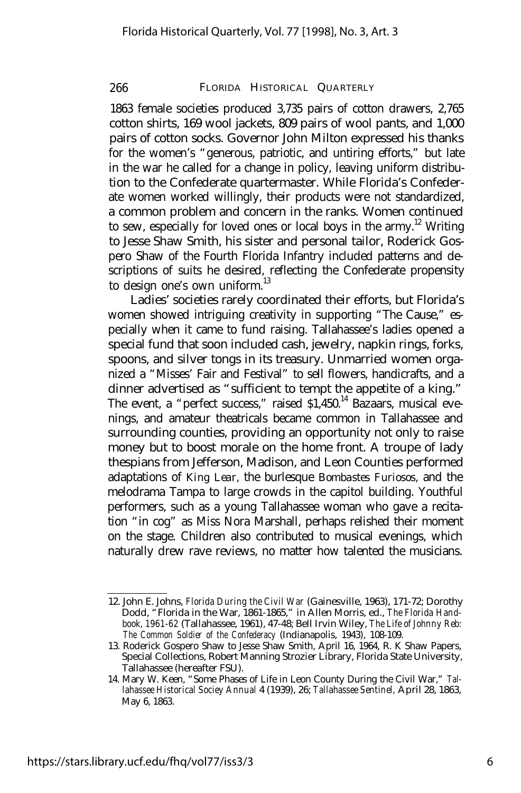1863 female societies produced 3,735 pairs of cotton drawers, 2,765 cotton shirts, 169 wool jackets, 809 pairs of wool pants, and 1,000 pairs of cotton socks. Governor John Milton expressed his thanks for the women's "generous, patriotic, and untiring efforts," but late in the war he called for a change in policy, leaving uniform distribution to the Confederate quartermaster. While Florida's Confederate women worked willingly, their products were not standardized, a common problem and concern in the ranks. Women continued to sew, especially for loved ones or local boys in the army.<sup>12</sup> Writing to Jesse Shaw Smith, his sister and personal tailor, Roderick Gospero Shaw of the Fourth Florida Infantry included patterns and descriptions of suits he desired, reflecting the Confederate propensity to design one's own uniform. $^{13}$ 

Ladies' societies rarely coordinated their efforts, but Florida's women showed intriguing creativity in supporting "The Cause," especially when it came to fund raising. Tallahassee's ladies opened a special fund that soon included cash, jewelry, napkin rings, forks, spoons, and silver tongs in its treasury. Unmarried women organized a "Misses' Fair and Festival" to sell flowers, handicrafts, and a dinner advertised as "sufficient to tempt the appetite of a king." The event, a "perfect success," raised  $$1.450$ ,<sup>14</sup> Bazaars, musical evenings, and amateur theatricals became common in Tallahassee and surrounding counties, providing an opportunity not only to raise money but to boost morale on the home front. A troupe of lady thespians from Jefferson, Madison, and Leon Counties performed adaptations of *King Lear,* the burlesque *Bombastes Furiosos,* and the melodrama Tampa to large crowds in the capitol building. Youthful performers, such as a young Tallahassee woman who gave a recitation "in cog" as Miss Nora Marshall, perhaps relished their moment on the stage. Children also contributed to musical evenings, which naturally drew rave reviews, no matter how talented the musicians.

<sup>12.</sup> John E. Johns, *Florida During the Civil War* (Gainesville, 1963), 171-72; Dorothy Dodd, "Florida in the War, 1861-1865," in Allen Morris, ed., *The Florida Handbook, 1961-62* (Tallahassee, 1961), 47-48; Bell Irvin Wiley, *The Life of Johnny Reb: The Common Soldier of the Confederacy* (Indianapolis, 1943), 108-109.

<sup>13.</sup> Roderick Gospero Shaw to Jesse Shaw Smith, April 16, 1964, R. K Shaw Papers, Special Collections, Robert Manning Strozier Library, Florida State University, Tallahassee (hereafter FSU).

<sup>14.</sup> Mary W. Keen, "Some Phases of Life in Leon County During the Civil War," *Tallahassee Historical Sociey Annual* 4 (1939), 26; *Tallahassee Sentinel,* April 28, 1863, May 6, 1863.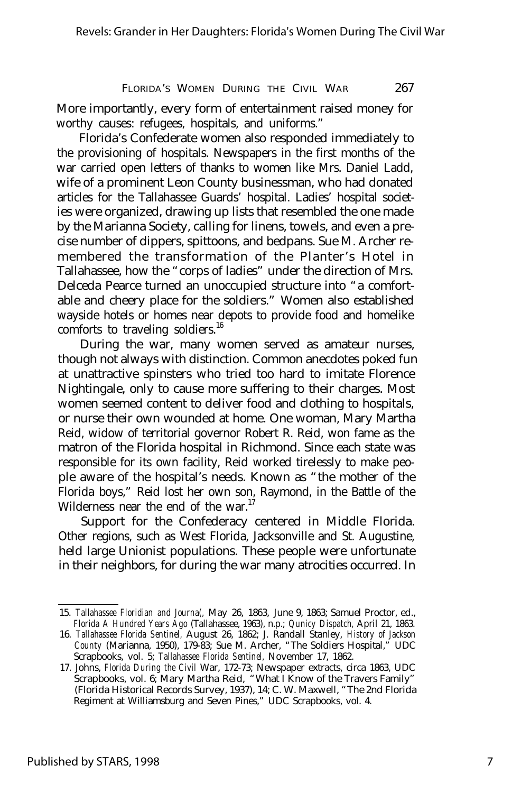More importantly, every form of entertainment raised money for worthy causes: refugees, hospitals, and uniforms."

Florida's Confederate women also responded immediately to the provisioning of hospitals. Newspapers in the first months of the war carried open letters of thanks to women like Mrs. Daniel Ladd, wife of a prominent Leon County businessman, who had donated articles for the Tallahassee Guards' hospital. Ladies' hospital societies were organized, drawing up lists that resembled the one made by the Marianna Society, calling for linens, towels, and even a precise number of dippers, spittoons, and bedpans. Sue M. Archer remembered the transformation of the Planter's Hotel in Tallahassee, how the "corps of ladies" under the direction of Mrs. Delceda Pearce turned an unoccupied structure into "a comfortable and cheery place for the soldiers." Women also established wayside hotels or homes near depots to provide food and homelike comforts to traveling soldiers.<sup>16</sup>

During the war, many women served as amateur nurses, though not always with distinction. Common anecdotes poked fun at unattractive spinsters who tried too hard to imitate Florence Nightingale, only to cause more suffering to their charges. Most women seemed content to deliver food and clothing to hospitals, or nurse their own wounded at home. One woman, Mary Martha Reid, widow of territorial governor Robert R. Reid, won fame as the matron of the Florida hospital in Richmond. Since each state was responsible for its own facility, Reid worked tirelessly to make people aware of the hospital's needs. Known as "the mother of the Florida boys," Reid lost her own son, Raymond, in the Battle of the Wilderness near the end of the war.<sup>17</sup>

Support for the Confederacy centered in Middle Florida. Other regions, such as West Florida, Jacksonville and St. Augustine, held large Unionist populations. These people were unfortunate in their neighbors, for during the war many atrocities occurred. In

<sup>15.</sup> *Tallahassee Floridian and Journa(,* May 26, 1863, June 9, 1863; Samuel Proctor, ed., *Florida A Hundred Years Ago* (Tallahassee, 1963), n.p.; *Qunicy Dispatch,* April 21, 1863.

<sup>16.</sup> *Tallahassee Florida Sentinel,* August 26, 1862; J. Randall Stanley, *History of Jackson County* (Marianna, 1950), 179-83; Sue M. Archer, "The Soldiers Hospital," UDC Scrapbooks, vol. 5; *Tallahassee Florida Sentinel,* November 17, 1862.

<sup>17.</sup> Johns, *Florida During the Civil* War, 172-73; Newspaper extracts, circa 1863, UDC Scrapbooks, vol. 6; Mary Martha Reid, "What I Know of the Travers Family" (Florida Historical Records Survey, 1937), 14; C. W. Maxwell, "The 2nd Florida Regiment at Williamsburg and Seven Pines," UDC Scrapbooks, vol. 4.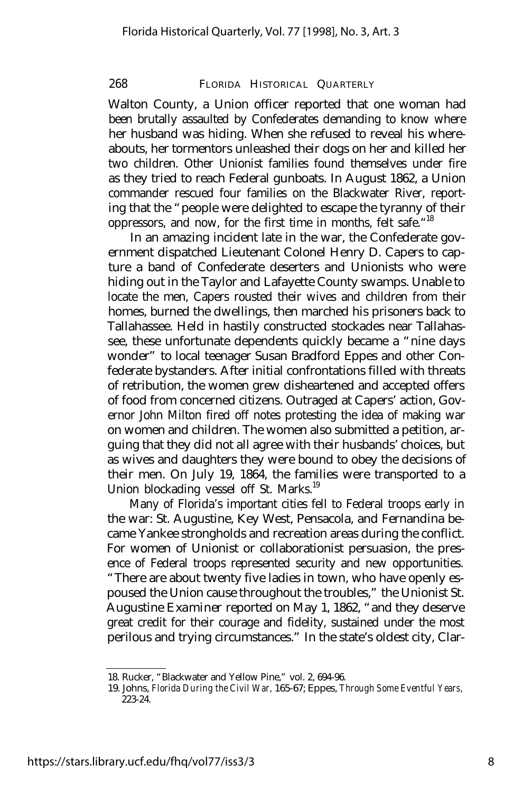Walton County, a Union officer reported that one woman had been brutally assaulted by Confederates demanding to know where her husband was hiding. When she refused to reveal his whereabouts, her tormentors unleashed their dogs on her and killed her two children. Other Unionist families found themselves under fire as they tried to reach Federal gunboats. In August 1862, a Union commander rescued four families on the Blackwater River, reporting that the "people were delighted to escape the tyranny of their oppressors, and now, for the first time in months, felt safe."<sup>18</sup>

In an amazing incident late in the war, the Confederate government dispatched Lieutenant Colonel Henry D. Capers to capture a band of Confederate deserters and Unionists who were hiding out in the Taylor and Lafayette County swamps. Unable to locate the men, Capers rousted their wives and children from their homes, burned the dwellings, then marched his prisoners back to Tallahassee. Held in hastily constructed stockades near Tallahassee, these unfortunate dependents quickly became a "nine days wonder" to local teenager Susan Bradford Eppes and other Confederate bystanders. After initial confrontations filled with threats of retribution, the women grew disheartened and accepted offers of food from concerned citizens. Outraged at Capers' action, Governor John Milton fired off notes protesting the idea of making war on women and children. The women also submitted a petition, arguing that they did not all agree with their husbands' choices, but as wives and daughters they were bound to obey the decisions of their men. On July 19, 1864, the families were transported to a Union blockading vessel off St. Marks.<sup>19</sup>

Many of Florida's important cities fell to Federal troops early in the war: St. Augustine, Key West, Pensacola, and Fernandina became Yankee strongholds and recreation areas during the conflict. For women of Unionist or collaborationist persuasion, the presence of Federal troops represented security and new opportunities. "There are about twenty five ladies in town, who have openly espoused the Union cause throughout the troubles," the Unionist St. Augustine *Examiner* reported on May 1, 1862, "and they deserve great credit for their courage and fidelity, sustained under the most perilous and trying circumstances." In the state's oldest city, Clar-

<sup>18.</sup> Rucker, "Blackwater and Yellow Pine," vol. 2, 694-96.

<sup>19.</sup> Johns, *Florida During the Civil War,* 165-67; Eppes, *Through Some Eventful Years,* 223-24.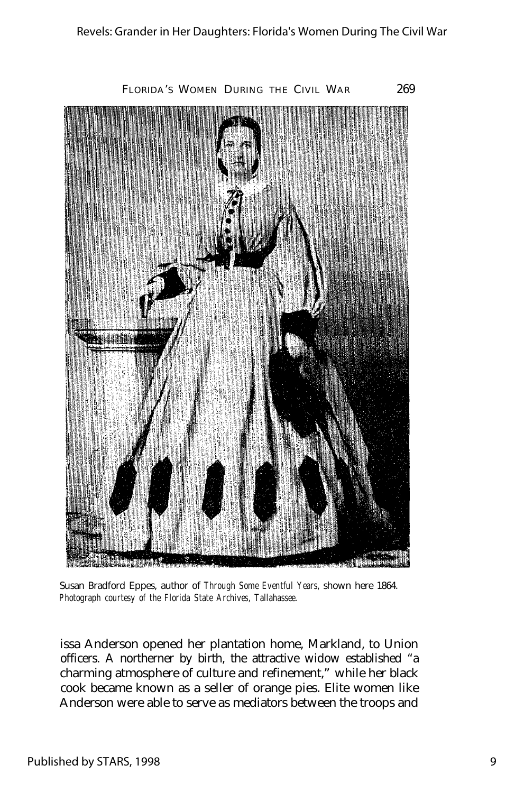

Susan Bradford Eppes, author of *Through Some Eventful Years,* shown here 1864. *Photograph courtesy of the Florida State Archives, Tallahassee.*

issa Anderson opened her plantation home, Markland, to Union officers. A northerner by birth, the attractive widow established "a charming atmosphere of culture and refinement," while her black cook became known as a seller of orange pies. Elite women like Anderson were able to serve as mediators between the troops and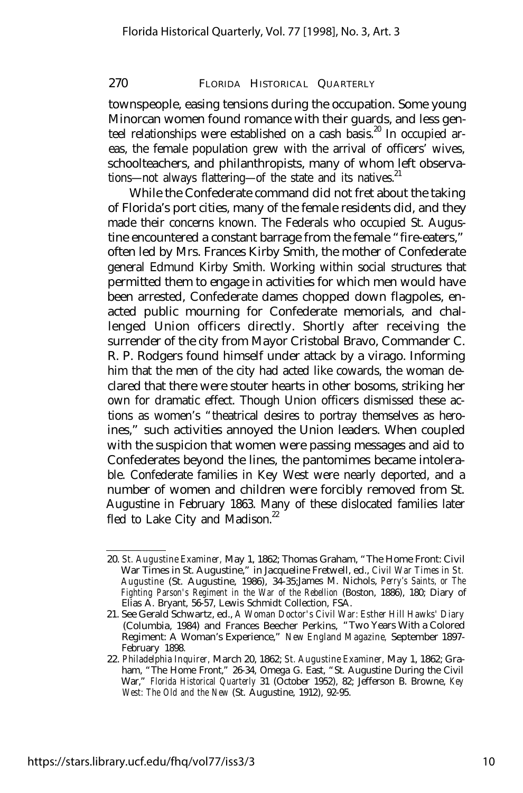townspeople, easing tensions during the occupation. Some young Minorcan women found romance with their guards, and less genteel relationships were established on a cash basis.<sup>20</sup> In occupied areas, the female population grew with the arrival of officers' wives, schoolteachers, and philanthropists, many of whom left observations- not always flattering- of the state and its natives.<sup>21</sup>

While the Confederate command did not fret about the taking of Florida's port cities, many of the female residents did, and they made their concerns known. The Federals who occupied St. Augustine encountered a constant barrage from the female "fire-eaters," often led by Mrs. Frances Kirby Smith, the mother of Confederate general Edmund Kirby Smith. Working within social structures that permitted them to engage in activities for which men would have been arrested, Confederate dames chopped down flagpoles, enacted public mourning for Confederate memorials, and challenged Union officers directly. Shortly after receiving the surrender of the city from Mayor Cristobal Bravo, Commander C. R. P. Rodgers found himself under attack by a virago. Informing him that the men of the city had acted like cowards, the woman declared that there were stouter hearts in other bosoms, striking her own for dramatic effect. Though Union officers dismissed these actions as women's "theatrical desires to portray themselves as heroines," such activities annoyed the Union leaders. When coupled with the suspicion that women were passing messages and aid to Confederates beyond the lines, the pantomimes became intolerable. Confederate families in Key West were nearly deported, and a number of women and children were forcibly removed from St. Augustine in February 1863. Many of these dislocated families later fled to Lake City and Madison.<sup>22</sup>

<sup>20.</sup> *St. Augustine Examiner,* May 1, 1862; Thomas Graham, "The Home Front: Civil War Times in St. Augustine," in Jacqueline Fretwell, ed., *Civil War Times in St. Augustine* (St. Augustine, 1986), 34-35;James M. Nichols, *Perry's Saints, or The Fighting Parson's Regiment in the War of the Rebellion* (Boston, 1886), 180; Diary of Elias A. Bryant, 56-57, Lewis Schmidt Collection, FSA.

<sup>21.</sup> See Gerald Schwartz, ed., *A Woman Doctor's Civil War: Esther Hill Hawks' Diary* (Columbia, 1984) and Frances Beecher Perkins, "Two Years With a Colored Regiment: A Woman's Experience," *New England Magazine,* September 1897- February 1898.

<sup>22.</sup> *Philadelphia Inquirer,* March 20, 1862; *St. Augustine Examiner,* May 1, 1862; Graham, "The Home Front," 26-34, Omega G. East, "St. Augustine During the Civil War," *Florida Historical Quarterly* 31 (October 1952), 82; Jefferson B. Browne, *Key West: The Old and the New* (St. Augustine, 1912), 92-95.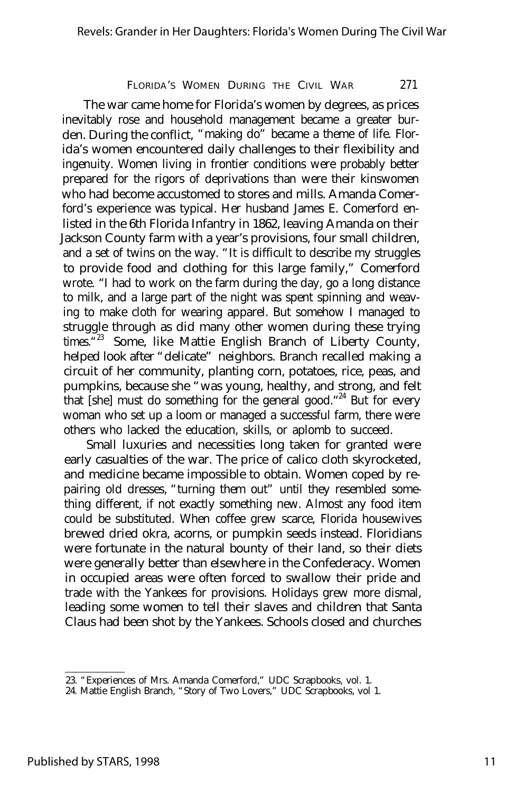The war came home for Florida's women by degrees, as prices inevitably rose and household management became a greater burden. During the conflict, "making do" became a theme of life. Florida's women encountered daily challenges to their flexibility and ingenuity. Women living in frontier conditions were probably better prepared for the rigors of deprivations than were their kinswomen who had become accustomed to stores and mills. Amanda Comerford's experience was typical. Her husband James E. Comerford enlisted in the 6th Florida Infantry in 1862, leaving Amanda on their Jackson County farm with a year's provisions, four small children, and a set of twins on the way. "It is difficult to describe my struggles to provide food and clothing for this large family," Comerford wrote. "I had to work on the farm during the day, go a long distance to milk, and a large part of the night was spent spinning and weaving to make cloth for wearing apparel. But somehow I managed to struggle through as did many other women during these trying times."<sup>23</sup> Some, like Mattie English Branch of Liberty County, helped look after "delicate" neighbors. Branch recalled making a circuit of her community, planting corn, potatoes, rice, peas, and pumpkins, because she "was young, healthy, and strong, and felt that [she] must do something for the general good.<sup>"24</sup> But for every woman who set up a loom or managed a successful farm, there were others who lacked the education, skills, or aplomb to succeed.

Small luxuries and necessities long taken for granted were early casualties of the war. The price of calico cloth skyrocketed, and medicine became impossible to obtain. Women coped by repairing old dresses, "turning them out" until they resembled something different, if not exactly something new. Almost any food item could be substituted. When coffee grew scarce, Florida housewives brewed dried okra, acorns, or pumpkin seeds instead. Floridians were fortunate in the natural bounty of their land, so their diets were generally better than elsewhere in the Confederacy. Women in occupied areas were often forced to swallow their pride and trade with the Yankees for provisions. Holidays grew more dismal, leading some women to tell their slaves and children that Santa Claus had been shot by the Yankees. Schools closed and churches

<sup>23. &</sup>quot;Experiences of Mrs. Amanda Comerford," UDC Scrapbooks, vol. 1.

<sup>24.</sup> Mattie English Branch, "Story of Two Lovers," UDC Scrapbooks, vol 1.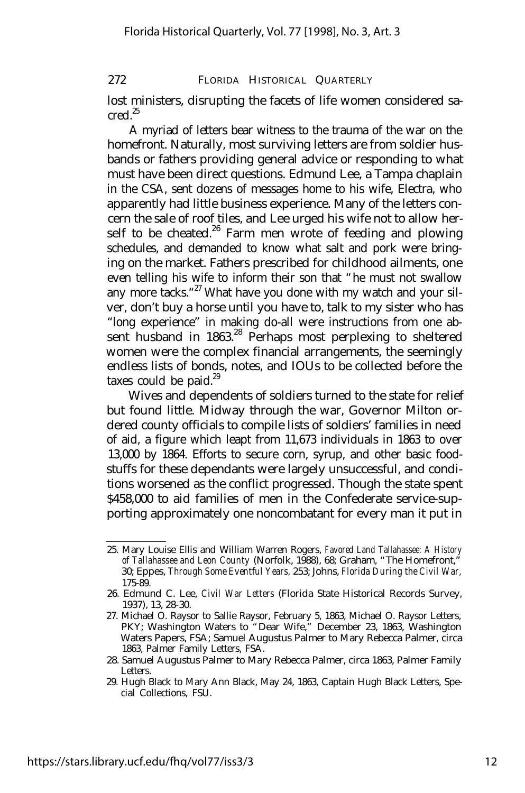lost ministers, disrupting the facets of life women considered sa $c$ red $^{25}$ 

A myriad of letters bear witness to the trauma of the war on the homefront. Naturally, most surviving letters are from soldier husbands or fathers providing general advice or responding to what must have been direct questions. Edmund Lee, a Tampa chaplain in the CSA, sent dozens of messages home to his wife, Electra, who apparently had little business experience. Many of the letters concern the sale of roof tiles, and Lee urged his wife not to allow herself to be cheated.<sup>26</sup> Farm men wrote of feeding and plowing schedules, and demanded to know what salt and pork were bringing on the market. Fathers prescribed for childhood ailments, one even telling his wife to inform their son that "he must not swallow any more tacks."<sup>27</sup> What have you done with my watch and your silver, don't buy a horse until you have to, talk to my sister who has "long experience" in making do-all were instructions from one absent husband in  $1863$ <sup>28</sup> Perhaps most perplexing to sheltered women were the complex financial arrangements, the seemingly endless lists of bonds, notes, and IOUs to be collected before the taxes could be paid. $29$ 

Wives and dependents of soldiers turned to the state for relief but found little. Midway through the war, Governor Milton ordered county officials to compile lists of soldiers' families in need of aid, a figure which leapt from 11,673 individuals in 1863 to over 13,000 by 1864. Efforts to secure corn, syrup, and other basic foodstuffs for these dependants were largely unsuccessful, and conditions worsened as the conflict progressed. Though the state spent \$458,000 to aid families of men in the Confederate service-supporting approximately one noncombatant for every man it put in

<sup>25.</sup> Mary Louise Ellis and William Warren Rogers, *Favored Land Tallahassee: A History of Tallahassee and Leon County* (Norfolk, 1988), 68; Graham, "The Homefront," 30; Eppes, *Through Some Eventful Years,* 253; Johns, *Florida During the Civil War,* 175-89.

<sup>26.</sup> Edmund C. Lee, *Civil War Letters* (Florida State Historical Records Survey, 1937), 13, 28-30.

<sup>27.</sup> Michael O. Raysor to Sallie Raysor, February 5, 1863, Michael O. Raysor Letters, PKY; Washington Waters to "Dear Wife," December 23, 1863, Washington Waters Papers, FSA; Samuel Augustus Palmer to Mary Rebecca Palmer, circa 1863, Palmer Family Letters, FSA.

<sup>28.</sup> Samuel Augustus Palmer to Mary Rebecca Palmer, circa 1863, Palmer Family Letters.

<sup>29.</sup> Hugh Black to Mary Ann Black, May 24, 1863, Captain Hugh Black Letters, Special Collections, FSU.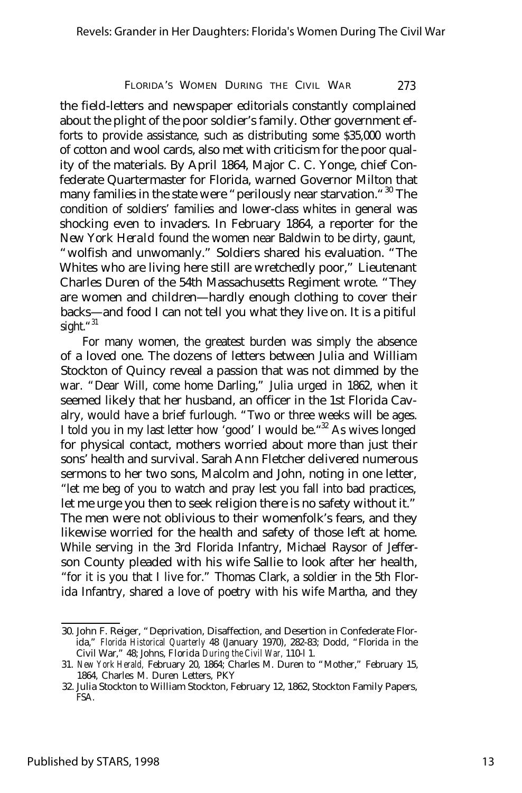the field-letters and newspaper editorials constantly complained about the plight of the poor soldier's family. Other government efforts to provide assistance, such as distributing some \$35,000 worth of cotton and wool cards, also met with criticism for the poor quality of the materials. By April 1864, Major C. C. Yonge, chief Confederate Quartermaster for Florida, warned Governor Milton that many families in the state were "perilously near starvation."<sup>30</sup> The condition of soldiers' families and lower-class whites in general was shocking even to invaders. In February 1864, a reporter for the *New York Herald* found the women near Baldwin to be dirty, gaunt, "wolfish and unwomanly." Soldiers shared his evaluation. "The Whites who are living here still are wretchedly poor," Lieutenant Charles Duren of the 54th Massachusetts Regiment wrote. "They are women and children— hardly enough clothing to cover their backs— and food I can not tell you what they live on. It is a pitiful sight. $431$ 

For many women, the greatest burden was simply the absence of a loved one. The dozens of letters between Julia and William Stockton of Quincy reveal a passion that was not dimmed by the war. "Dear Will, come home Darling," Julia urged in 1862, when it seemed likely that her husband, an officer in the 1st Florida Cavalry, would have a brief furlough. "Two or three weeks will be ages. I told you in my last letter how 'good' I would be. "32 As wives longed for physical contact, mothers worried about more than just their sons' health and survival. Sarah Ann Fletcher delivered numerous sermons to her two sons, Malcolm and John, noting in one letter, "let me beg of you to watch and pray lest you fall into bad practices, let me urge you then to seek religion there is no safety without it." The men were not oblivious to their womenfolk's fears, and they likewise worried for the health and safety of those left at home. While serving in the 3rd Florida Infantry, Michael Raysor of Jefferson County pleaded with his wife Sallie to look after her health, "for it is you that I live for." Thomas Clark, a soldier in the 5th Florida Infantry, shared a love of poetry with his wife Martha, and they

<sup>30.</sup> John F. Reiger, "Deprivation, Disaffection, and Desertion in Confederate Florida," *Florida Historical Quarterly* 48 (January 1970), 282-83; Dodd, "Florida in the Civil War," 48; Johns, *Florida During the Civil War,* 110-l 1.

<sup>31.</sup> *New York Herald,* February 20, 1864; Charles M. Duren to "Mother," February 15, 1864, Charles M. Duren Letters, PKY

<sup>32.</sup> Julia Stockton to William Stockton, February 12, 1862, Stockton Family Papers, FSA.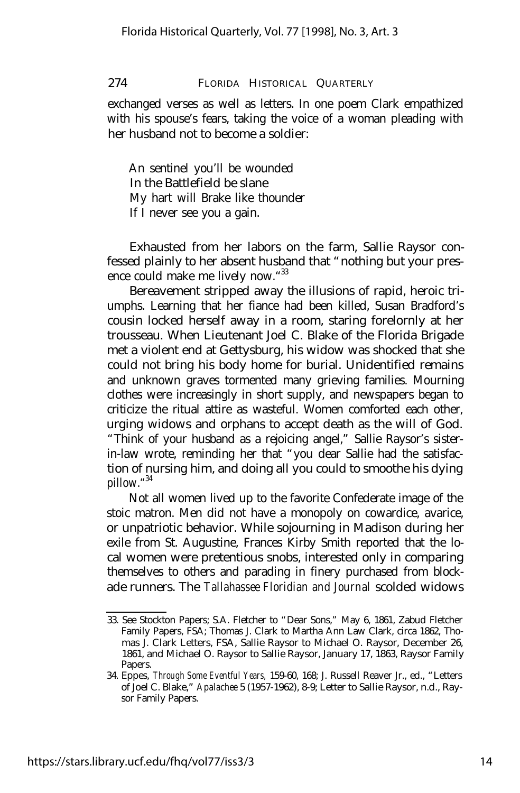exchanged verses as well as letters. In one poem Clark empathized with his spouse's fears, taking the voice of a woman pleading with her husband not to become a soldier:

An sentinel you'll be wounded In the Battlefield be slane My hart will Brake like thounder If I never see you a gain.

Exhausted from her labors on the farm, Sallie Raysor confessed plainly to her absent husband that "nothing but your presence could make me lively now."<sup>33</sup>

Bereavement stripped away the illusions of rapid, heroic triumphs. Learning that her fiance had been killed, Susan Bradford's cousin locked herself away in a room, staring forelornly at her trousseau. When Lieutenant Joel C. Blake of the Florida Brigade met a violent end at Gettysburg, his widow was shocked that she could not bring his body home for burial. Unidentified remains and unknown graves tormented many grieving families. Mourning clothes were increasingly in short supply, and newspapers began to criticize the ritual attire as wasteful. Women comforted each other, urging widows and orphans to accept death as the will of God. "Think of your husband as a rejoicing angel," Sallie Raysor's sisterin-law wrote, reminding her that "you dear Sallie had the satisfaction of nursing him, and doing all you could to smoothe his dying pillow." 34

Not all women lived up to the favorite Confederate image of the stoic matron. Men did not have a monopoly on cowardice, avarice, or unpatriotic behavior. While sojourning in Madison during her exile from St. Augustine, Frances Kirby Smith reported that the local women were pretentious snobs, interested only in comparing themselves to others and parading in finery purchased from blockade runners. The *Tallahassee Floridian and Journal* scolded widows

<sup>33.</sup> See Stockton Papers; S.A. Fletcher to "Dear Sons," May 6, 1861, Zabud Fletcher Family Papers, FSA; Thomas J. Clark to Martha Ann Law Clark, circa 1862, Thomas J. Clark Letters, FSA, Sallie Raysor to Michael O. Raysor, December 26, 1861, and Michael O. Raysor to Sallie Raysor, January 17, 1863, Raysor Family Papers.

<sup>34.</sup> Eppes, *Through Some Eventful Years,* 159-60, 168; J. Russell Reaver Jr., ed., "Letters of Joel C. Blake," *Apalachee* 5 (1957-1962), 8-9; Letter to Sallie Raysor, n.d., Raysor Family Papers.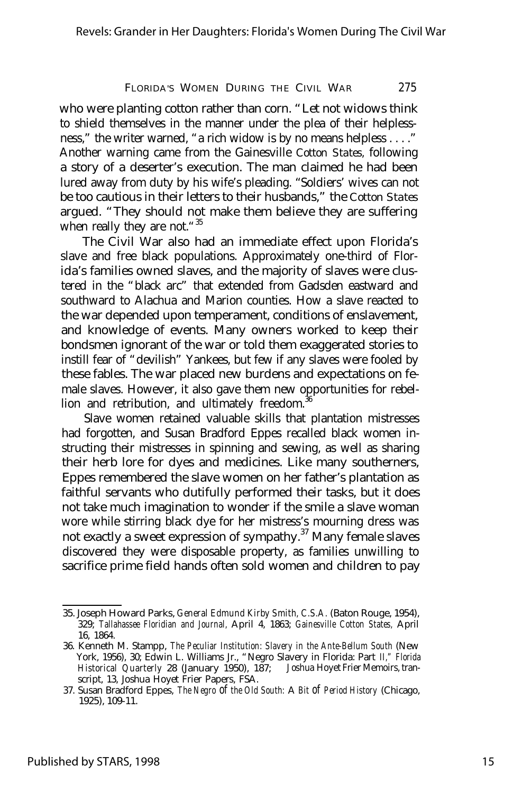who were planting cotton rather than corn. "Let not widows think to shield themselves in the manner under the plea of their helplessness," the writer warned, "a rich widow is by no means helpless . . . ." Another warning came from the Gainesville *Cotton States,* following a story of a deserter's execution. The man claimed he had been lured away from duty by his wife's pleading. "Soldiers' wives can not be too cautious in their letters to their husbands," the *Cotton States* argued. "They should not make them believe they are suffering when really they are not."<sup>35</sup>

The Civil War also had an immediate effect upon Florida's slave and free black populations. Approximately one-third of Florida's families owned slaves, and the majority of slaves were clustered in the "black arc" that extended from Gadsden eastward and southward to Alachua and Marion counties. How a slave reacted to the war depended upon temperament, conditions of enslavement, and knowledge of events. Many owners worked to keep their bondsmen ignorant of the war or told them exaggerated stories to instill fear of "devilish" Yankees, but few if any slaves were fooled by these fables. The war placed new burdens and expectations on female slaves. However, it also gave them new opportunities for rebellion and retribution, and ultimately freedom.<sup>36</sup>

Slave women retained valuable skills that plantation mistresses had forgotten, and Susan Bradford Eppes recalled black women instructing their mistresses in spinning and sewing, as well as sharing their herb lore for dyes and medicines. Like many southerners, Eppes remembered the slave women on her father's plantation as faithful servants who dutifully performed their tasks, but it does not take much imagination to wonder if the smile a slave woman wore while stirring black dye for her mistress's mourning dress was not exactly a sweet expression of sympathy.<sup>37</sup> Many female slaves discovered they were disposable property, as families unwilling to sacrifice prime field hands often sold women and children to pay

<sup>35.</sup> Joseph Howard Parks, *General Edmund Kirby Smith, C.S.A.* (Baton Rouge, 1954), 329; *Tallahassee Floridian and Journal,* April 4, 1863; *Gainesville Cotton States,* April 16, 1864.

<sup>36.</sup> Kenneth M. Stampp, *The Peculiar Institution: Slavery in the Ante-Bellum South* (New York, 1956), 30; Edwin L. Williams Jr., "Negro Slavery in Florida: Part *II," Florida Historical Quarterly* 28 (January 1950), 187; Joshua Hoyet Frier Memoirs, transcript, 13, Joshua Hoyet Frier Papers, FSA.

<sup>37.</sup> Susan Bradford Eppes, *The Negro of the Old South:* A *Bit of Period History* (Chicago, 1925), 109-11.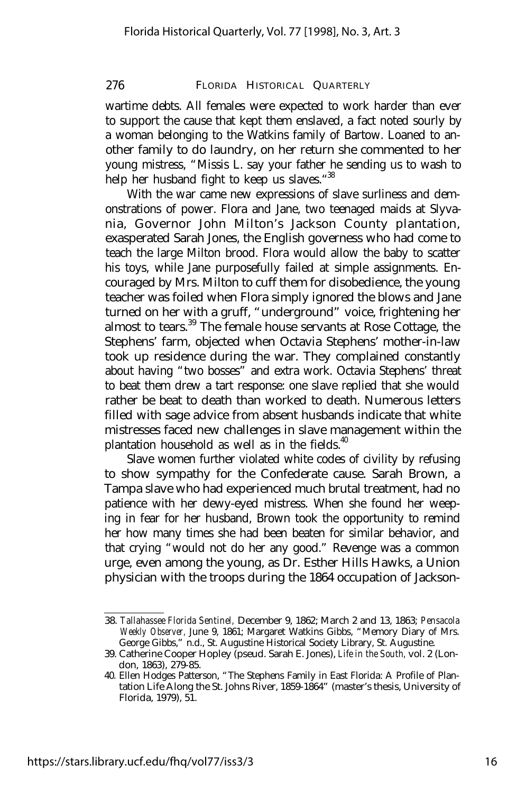wartime debts. All females were expected to work harder than ever to support the cause that kept them enslaved, a fact noted sourly by a woman belonging to the Watkins family of Bartow. Loaned to another family to do laundry, on her return she commented to her young mistress, "Missis L. say your father he sending us to wash to help her husband fight to keep us slaves."<sup>38</sup>

With the war came new expressions of slave surliness and demonstrations of power. Flora and Jane, two teenaged maids at Slyvania, Governor John Milton's Jackson County plantation, exasperated Sarah Jones, the English governess who had come to teach the large Milton brood. Flora would allow the baby to scatter his toys, while Jane purposefully failed at simple assignments. Encouraged by Mrs. Milton to cuff them for disobedience, the young teacher was foiled when Flora simply ignored the blows and Jane turned on her with a gruff, "underground" voice, frightening her almost to tears.<sup>39</sup> The female house servants at Rose Cottage, the Stephens' farm, objected when Octavia Stephens' mother-in-law took up residence during the war. They complained constantly about having "two bosses" and extra work. Octavia Stephens' threat to beat them drew a tart response: one slave replied that she would rather be beat to death than worked to death. Numerous letters filled with sage advice from absent husbands indicate that white mistresses faced new challenges in slave management within the plantation household as well as in the fields. $40$ 

Slave women further violated white codes of civility by refusing to show sympathy for the Confederate cause. Sarah Brown, a Tampa slave who had experienced much brutal treatment, had no patience with her dewy-eyed mistress. When she found her weeping in fear for her husband, Brown took the opportunity to remind her how many times she had been beaten for similar behavior, and that crying "would not do her any good." Revenge was a common urge, even among the young, as Dr. Esther Hills Hawks, a Union physician with the troops during the 1864 occupation of Jackson-

<sup>38.</sup> *Tallahassee Florida Sentinel,* December 9, 1862; March 2 and 13, 1863; *Pensacola Weekly Observer,* June 9, 1861; Margaret Watkins Gibbs, "Memory Diary of Mrs. George Gibbs," n.d., St. Augustine Historical Society Library, St. Augustine.

<sup>39.</sup> Catherine Cooper Hopley (pseud. Sarah E. Jones), *Life in the South,* vol. 2 (London, 1863), 279-85.

<sup>40.</sup> Ellen Hodges Patterson, "The Stephens Family in East Florida: A Profile of Plantation Life Along the St. Johns River, 1859-1864" (master's thesis, University of Florida, 1979), 51.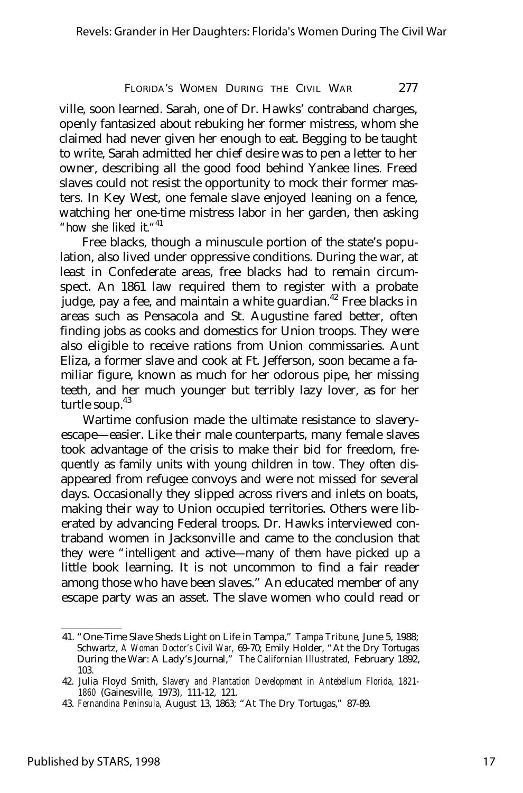ville, soon learned. Sarah, one of Dr. Hawks' contraband charges, openly fantasized about rebuking her former mistress, whom she claimed had never given her enough to eat. Begging to be taught to write, Sarah admitted her chief desire was to pen a letter to her owner, describing all the good food behind Yankee lines. Freed slaves could not resist the opportunity to mock their former masters. In Key West, one female slave enjoyed leaning on a fence, watching her one-time mistress labor in her garden, then asking "how she liked it."<sup>41</sup>

Free blacks, though a minuscule portion of the state's population, also lived under oppressive conditions. During the war, at least in Confederate areas, free blacks had to remain circumspect. An 1861 law required them to register with a probate judge, pay a fee, and maintain a white guardian. $42$  Free blacks in areas such as Pensacola and St. Augustine fared better, often finding jobs as cooks and domestics for Union troops. They were also eligible to receive rations from Union commissaries. Aunt Eliza, a former slave and cook at Ft. Jefferson, soon became a familiar figure, known as much for her odorous pipe, her missing teeth, and her much younger but terribly lazy lover, as for her turtle soup.<sup>43</sup>

Wartime confusion made the ultimate resistance to slaveryescape— easier. Like their male counterparts, many female slaves took advantage of the crisis to make their bid for freedom, frequently as family units with young children in tow. They often disappeared from refugee convoys and were not missed for several days. Occasionally they slipped across rivers and inlets on boats, making their way to Union occupied territories. Others were liberated by advancing Federal troops. Dr. Hawks interviewed contraband women in Jacksonville and came to the conclusion that they were "intelligent and active— many of them have picked up a little book learning. It is not uncommon to find a fair reader among those who have been slaves." An educated member of any escape party was an asset. The slave women who could read or

<sup>41. &</sup>quot;One-Time Slave Sheds Light on Life in Tampa," *Tampa Tribune,* June 5, 1988; Schwartz, *A Woman Doctor's Civil War,* 69-70; Emily Holder, "At the Dry Tortugas During the War: A Lady's Journal," *The Californian Illustrated,* February 1892, 103.

<sup>42.</sup> Julia Floyd Smith, *Slavery and Plantation Development in Antebellum Florida, 1821- 1860* (Gainesville, 1973), 111-12, 121.

<sup>43.</sup> *Fernandina Peninsula,* August 13, 1863; "At The Dry Tortugas," 87-89.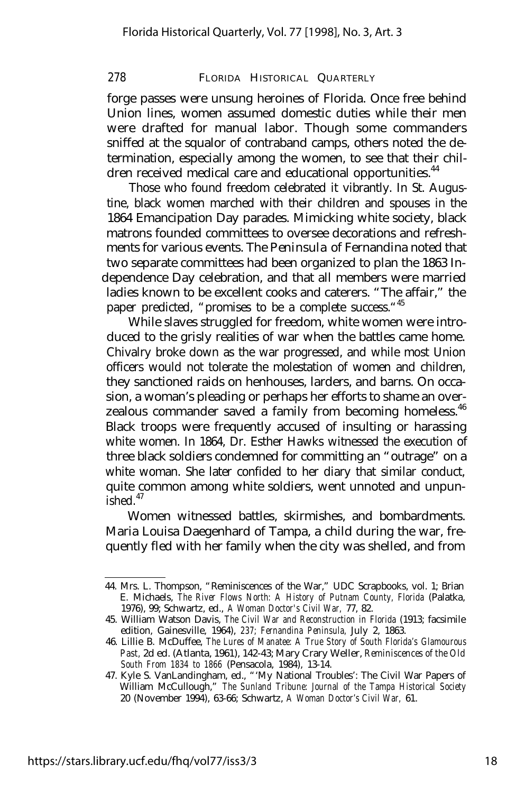forge passes were unsung heroines of Florida. Once free behind Union lines, women assumed domestic duties while their men were drafted for manual labor. Though some commanders sniffed at the squalor of contraband camps, others noted the determination, especially among the women, to see that their children received medical care and educational opportunities.<sup>44</sup>

Those who found freedom celebrated it vibrantly. In St. Augustine, black women marched with their children and spouses in the 1864 Emancipation Day parades. Mimicking white society, black matrons founded committees to oversee decorations and refreshments for various events. The *Peninsula* of Fernandina noted that two separate committees had been organized to plan the 1863 In dependence Day celebration, and that all members were married ladies known to be excellent cooks and caterers. "The affair," the paper predicted, "promises to be a complete success."<sup>45</sup>

While slaves struggled for freedom, white women were introduced to the grisly realities of war when the battles came home. Chivalry broke down as the war progressed, and while most Union officers would not tolerate the molestation of women and children, they sanctioned raids on henhouses, larders, and barns. On occasion, a woman's pleading or perhaps her efforts to shame an overzealous commander saved a family from becoming homeless.<sup>46</sup> Black troops were frequently accused of insulting or harassing white women. In 1864, Dr. Esther Hawks witnessed the execution of three black soldiers condemned for committing an "outrage" on a white woman. She later confided to her diary that similar conduct, quite common among white soldiers, went unnoted and unpun $ished<sup>47</sup>$ 

Women witnessed battles, skirmishes, and bombardments. Maria Louisa Daegenhard of Tampa, a child during the war, frequently fled with her family when the city was shelled, and from

<sup>44.</sup> Mrs. L. Thompson, "Reminiscences of the War," UDC Scrapbooks, vol. 1; Brian E. Michaels, *The River Flows North: A History of Putnam County, Florida* (Palatka, 1976), 99; Schwartz, ed., *A Woman Doctor's Civil War,* 77, 82.

<sup>45.</sup> William Watson Davis, *The Civil War and Reconstruction in Florida* (1913; facsimile edition, Gainesville, 1964), *237; Fernandina Peninsula,* July 2, 1863.

<sup>46.</sup> Lillie B. McDuffee, *The Lures of Manatee: A True Story of South Florida's Glamourous Past,* 2d ed. (Atlanta, 1961), 142-43; Mary Crary Weller, *Reminiscences of the Old South From 1834 to 1866* (Pensacola, 1984), 13-14.

<sup>47.</sup> Kyle S. VanLandingham, ed., "'My National Troubles': The Civil War Papers of William McCullough," *The Sunland Tribune: Journal of the Tampa Historical Society* 20 (November 1994), 63-66; Schwartz, *A Woman Doctor's Civil War,* 61.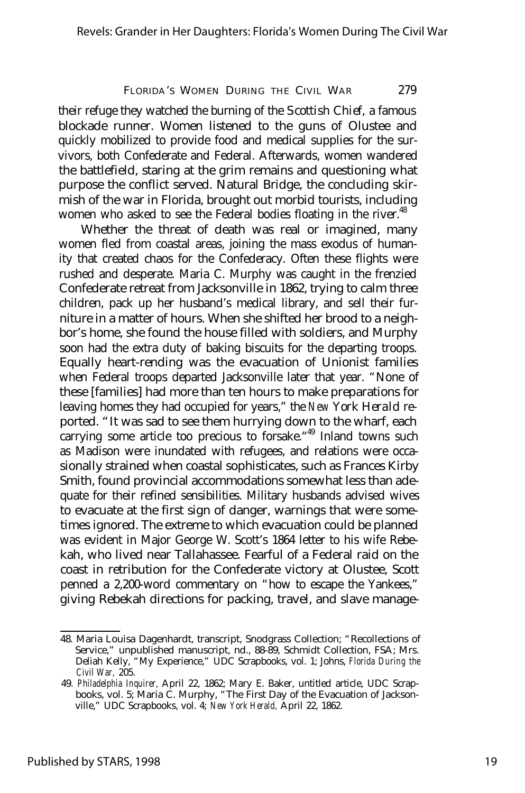their refuge they watched the burning of the *Scottish Chief,* a famous blockade runner. Women listened to the guns of Olustee and quickly mobilized to provide food and medical supplies for the survivors, both Confederate and Federal. Afterwards, women wandered the battlefield, staring at the grim remains and questioning what purpose the conflict served. Natural Bridge, the concluding skirmish of the war in Florida, brought out morbid tourists, including women who asked to see the Federal bodies floating in the river.<sup>48</sup>

Whether the threat of death was real or imagined, many women fled from coastal areas, joining the mass exodus of humanity that created chaos for the Confederacy. Often these flights were rushed and desperate. Maria C. Murphy was caught in the frenzied Confederate retreat from Jacksonville in 1862, trying to calm three children, pack up her husband's medical library, and sell their furniture in a matter of hours. When she shifted her brood to a neighbor's home, she found the house filled with soldiers, and Murphy soon had the extra duty of baking biscuits for the departing troops. Equally heart-rending was the evacuation of Unionist families when Federal troops departed Jacksonville later that year. "None of these [families] had more than ten hours to make preparations for leaving homes they had occupied for years," the *New York Herald* reported. "It was sad to see them hurrying down to the wharf, each carrying some article too precious to forsake."<sup>49</sup> Inland towns such as Madison were inundated with refugees, and relations were occasionally strained when coastal sophisticates, such as Frances Kirby Smith, found provincial accommodations somewhat less than adequate for their refined sensibilities. Military husbands advised wives to evacuate at the first sign of danger, warnings that were sometimes ignored. The extreme to which evacuation could be planned was evident in Major George W. Scott's 1864 letter to his wife Rebekah, who lived near Tallahassee. Fearful of a Federal raid on the coast in retribution for the Confederate victory at Olustee, Scott penned a 2,200-word commentary on "how to escape the Yankees," giving Rebekah directions for packing, travel, and slave manage-

<sup>48.</sup> Maria Louisa Dagenhardt, transcript, Snodgrass Collection; "Recollections of Service," unpublished manuscript, nd., 88-89, Schmidt Collection, FSA; Mrs. Deliah Kelly, "My Experience," UDC Scrapbooks, vol. 1; Johns, *Florida During the Civil War,* 205.

<sup>49.</sup> *Philadelphia Inquirer,* April 22, 1862; Mary E. Baker, untitled article, UDC Scrapbooks, vol. 5; Maria C. Murphy, "The First Day of the Evacuation of Jacksonville," UDC Scrapbooks, vol. 4; *New York Herald,* April 22, 1862.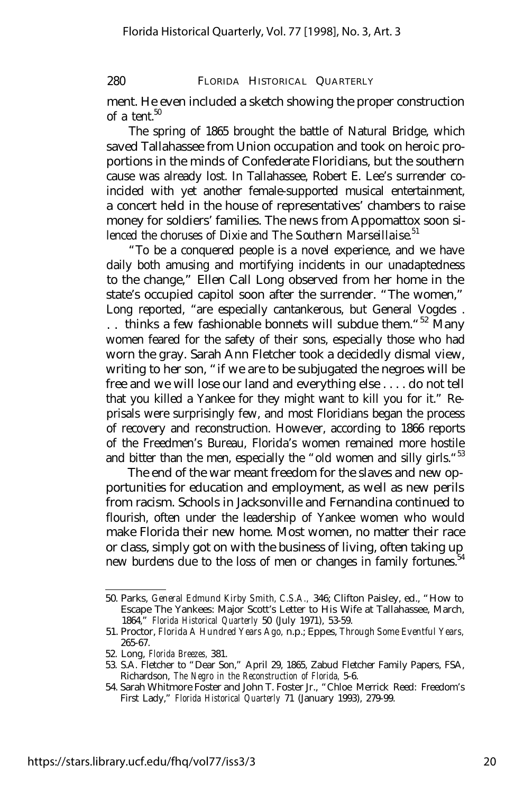ment. He even included a sketch showing the proper construction of a tent. $50$ 

The spring of 1865 brought the battle of Natural Bridge, which saved Tallahassee from Union occupation and took on heroic proportions in the minds of Confederate Floridians, but the southern cause was already lost. In Tallahassee, Robert E. Lee's surrender coincided with yet another female-supported musical entertainment, a concert held in the house of representatives' chambers to raise money for soldiers' families. The news from Appomattox soon silenced the choruses of *Dixie* and *The Southern Marseillaise.<sup>51</sup>*

"To be a conquered people is a novel experience, and we have daily both amusing and mortifying incidents in our unadaptedness to the change," Ellen Call Long observed from her home in the state's occupied capitol soon after the surrender. "The women," Long reported, "are especially cantankerous, but General Vogdes . .. thinks a few fashionable bonnets will subdue them."<sup>52</sup> Many women feared for the safety of their sons, especially those who had worn the gray. Sarah Ann Fletcher took a decidedly dismal view, writing to her son, "if we are to be subjugated the negroes will be free and we will lose our land and everything else . . . . do not tell that you killed a Yankee for they might want to kill you for it." Reprisals were surprisingly few, and most Floridians began the process of recovery and reconstruction. However, according to 1866 reports of the Freedmen's Bureau, Florida's women remained more hostile and bitter than the men, especially the "old women and silly girls."<sup>53</sup>

The end of the war meant freedom for the slaves and new opportunities for education and employment, as well as new perils from racism. Schools in Jacksonville and Fernandina continued to flourish, often under the leadership of Yankee women who would make Florida their new home. Most women, no matter their race or class, simply got on with the business of living, often taking up new burdens due to the loss of men or changes in family fortunes.<sup>54</sup>

<sup>50.</sup> Parks, *General Edmund Kirby Smith, C.S.A.,* 346; Clifton Paisley, ed., "How to Escape The Yankees: Major Scott's Letter to His Wife at Tallahassee, March, 1864," *Florida Historical Quarterly* 50 (July 1971), 53-59.

<sup>51.</sup> Proctor, *Florida A Hundred Years Ago,* n.p.; Eppes, *Through Some Eventful Years,* 265-67.

<sup>52.</sup> Long, *Florida Breezes,* 381.

<sup>53.</sup> S.A. Fletcher to "Dear Son," April 29, 1865, Zabud Fletcher Family Papers, FSA, Richardson, *The Negro in the Reconstruction of Florida,* 5-6.

<sup>54.</sup> Sarah Whitmore Foster and John T. Foster Jr., "Chloe Merrick Reed: Freedom's First Lady," *Florida Historical Quarterly* 71 (January 1993), 279-99.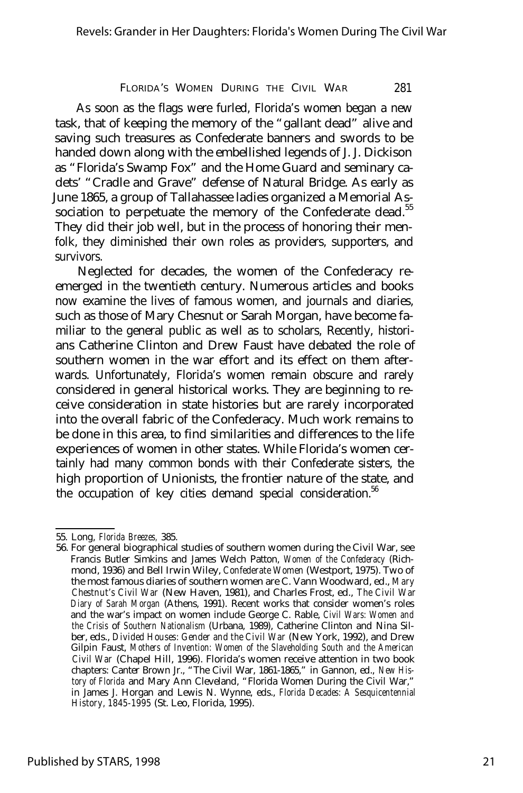As soon as the flags were furled, Florida's women began a new task, that of keeping the memory of the "gallant dead" alive and saving such treasures as Confederate banners and swords to be handed down along with the embellished legends of J. J. Dickison as "Florida's Swamp Fox" and the Home Guard and seminary cadets' "Cradle and Grave" defense of Natural Bridge. As early as June 1865, a group of Tallahassee ladies organized a Memorial Association to perpetuate the memory of the Confederate dead.<sup>55</sup> They did their job well, but in the process of honoring their menfolk, they diminished their own roles as providers, supporters, and survivors.

Neglected for decades, the women of the Confederacy reemerged in the twentieth century. Numerous articles and books now examine the lives of famous women, and journals and diaries, such as those of Mary Chesnut or Sarah Morgan, have become familiar to the general public as well as to scholars, Recently, historians Catherine Clinton and Drew Faust have debated the role of southern women in the war effort and its effect on them afterwards. Unfortunately, Florida's women remain obscure and rarely considered in general historical works. They are beginning to receive consideration in state histories but are rarely incorporated into the overall fabric of the Confederacy. Much work remains to be done in this area, to find similarities and differences to the life experiences of women in other states. While Florida's women certainly had many common bonds with their Confederate sisters, the high proportion of Unionists, the frontier nature of the state, and the occupation of key cities demand special consideration.<sup>56</sup>

<sup>55.</sup> Long, *Florida Breezes,* 385.

<sup>56.</sup> For general biographical studies of southern women during the Civil War, see Francis Butler Simkins and James Welch Patton, *Women of the Confederacy* (Richmond, 1936) and Bell Irwin Wiley, *Confederate Women* (Westport, 1975). Two of the most famous diaries of southern women are C. Vann Woodward, ed., *Mary Chestnut's Civil War* (New Haven, 1981), and Charles Frost, ed., *The Civil War Diary of Sarah Morgan* (Athens, 1991). Recent works that consider women's roles and the war's impact on women include George C. Rable, *Civil Wars: Women and the Crisis* of *Southern Nationalism* (Urbana, 1989), Catherine Clinton and Nina Silber, eds., *Divided Houses: Gender and the Civil War* (New York, 1992), and Drew Gilpin Faust, *Mothers of Invention: Women of the Slaveholding South and the American Civil War* (Chapel Hill, 1996). Florida's women receive attention in two book chapters: Canter Brown Jr., "The Civil War, 1861-1865," in Gannon, ed., *New History of Florida* and Mary Ann Cleveland, "Florida Women During the Civil War," in James J. Horgan and Lewis N. Wynne, eds., *Florida Decades: A Sesquicentennial History, 1845-1995* (St. Leo, Florida, 1995).